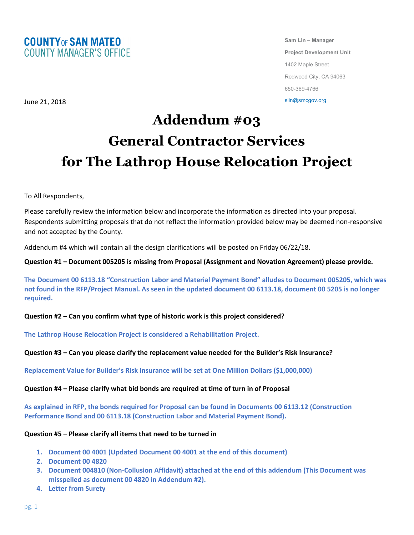

**Sam Lin – Manager Project Development Unit** 1402 Maple Street Redwood City, CA 94063 650-369-4766

slin@smcgov.org

June 21, 2018

# **Addendum #03 General Contractor Services for The Lathrop House Relocation Project**

To All Respondents,

Please carefully review the information below and incorporate the information as directed into your proposal. Respondents submitting proposals that do not reflect the information provided below may be deemed non-responsive and not accepted by the County.

Addendum #4 which will contain all the design clarifications will be posted on Friday 06/22/18.

**Question #1 – Document 005205 is missing from Proposal (Assignment and Novation Agreement) please provide.**

**The Document 00 6113.18 "Construction Labor and Material Payment Bond" alludes to Document 005205, which was not found in the RFP/Project Manual. As seen in the updated document 00 6113.18, document 00 5205 is no longer required.**

**Question #2 – Can you confirm what type of historic work is this project considered?**

**The Lathrop House Relocation Project is considered a Rehabilitation Project.**

**Question #3 – Can you please clarify the replacement value needed for the Builder's Risk Insurance?**

**Replacement Value for Builder's Risk Insurance will be set at One Million Dollars (\$1,000,000)** 

**Question #4 – Please clarify what bid bonds are required at time of turn in of Proposal**

**As explained in RFP, the bonds required for Proposal can be found in Documents 00 6113.12 (Construction Performance Bond and 00 6113.18 (Construction Labor and Material Payment Bond).**

## **Question #5 – Please clarify all items that need to be turned in**

- **1. Document 00 4001 (Updated Document 00 4001 at the end of this document)**
- **2. Document 00 4820**
- **3. Document 004810 (Non-Collusion Affidavit) attached at the end of this addendum (This Document was misspelled as document 00 4820 in Addendum #2).**
- **4. Letter from Surety**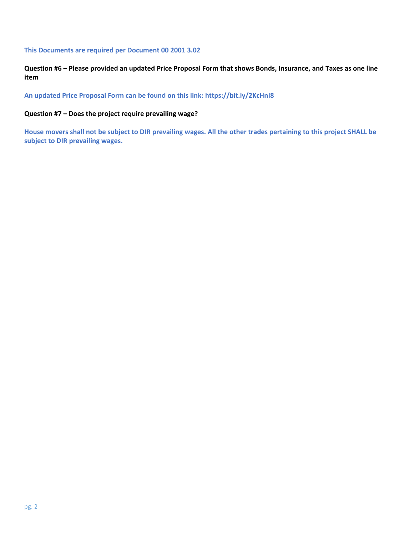#### **This Documents are required per Document 00 2001 3.02**

**Question #6 – Please provided an updated Price Proposal Form that shows Bonds, Insurance, and Taxes as one line item**

**An updated Price Proposal Form can be found on this link: https://bit.ly/2KcHnI8**

## **Question #7 – Does the project require prevailing wage?**

**House movers shall not be subject to DIR prevailing wages. All the other trades pertaining to this project SHALL be subject to DIR prevailing wages.**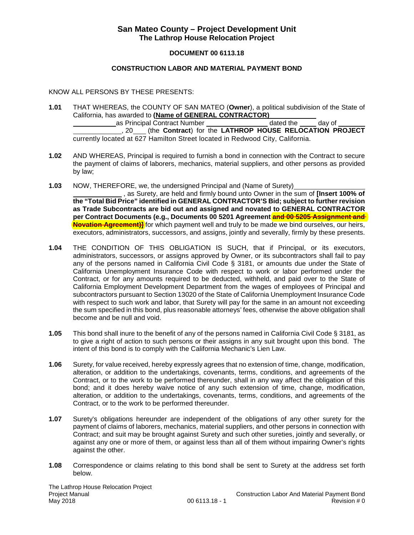# **San Mateo County – Project Development Unit The Lathrop House Relocation Project**

#### **DOCUMENT 00 6113.18**

#### **CONSTRUCTION LABOR AND MATERIAL PAYMENT BOND**

#### KNOW ALL PERSONS BY THESE PRESENTS:

**1.01** THAT WHEREAS, the COUNTY OF SAN MATEO (**Owner**), a political subdivision of the State of California, has awarded to **(Name of GENERAL CONTRACTOR)** as Principal Contract Number dated the day of

, 20 (the **Contract**) for the **LATHROP HOUSE RELOCATION PROJECT**  currently located at 627 Hamilton Street located in Redwood City, California.

- **1.02** AND WHEREAS, Principal is required to furnish a bond in connection with the Contract to secure the payment of claims of laborers, mechanics, material suppliers, and other persons as provided by law;
- **1.03** NOW, THEREFORE, we, the undersigned Principal and (Name of Surety)

, as Surety, are held and firmly bound unto Owner in the sum of **[Insert 100% of the "Total Bid Price" identified in GENERAL CONTRACTOR'S Bid; subject to further revision as Trade Subcontracts are bid out and assigned and novated to GENERAL CONTRACTOR per Contract Documents (e.g., Documents 00 5201 Agreement and 00 5205 Assignment and Novation Agreement)** for which payment well and truly to be made we bind ourselves, our heirs, executors, administrators, successors, and assigns, jointly and severally, firmly by these presents.

- **1.04** THE CONDITION OF THIS OBLIGATION IS SUCH, that if Principal, or its executors, administrators, successors, or assigns approved by Owner, or its subcontractors shall fail to pay any of the persons named in California Civil Code § 3181, or amounts due under the State of California Unemployment Insurance Code with respect to work or labor performed under the Contract, or for any amounts required to be deducted, withheld, and paid over to the State of California Employment Development Department from the wages of employees of Principal and subcontractors pursuant to Section 13020 of the State of California Unemployment Insurance Code with respect to such work and labor, that Surety will pay for the same in an amount not exceeding the sum specified in this bond, plus reasonable attorneys' fees, otherwise the above obligation shall become and be null and void.
- **1.05** This bond shall inure to the benefit of any of the persons named in California Civil Code § 3181, as to give a right of action to such persons or their assigns in any suit brought upon this bond. The intent of this bond is to comply with the California Mechanic's Lien Law.
- **1.06** Surety, for value received, hereby expressly agrees that no extension of time, change, modification, alteration, or addition to the undertakings, covenants, terms, conditions, and agreements of the Contract, or to the work to be performed thereunder, shall in any way affect the obligation of this bond; and it does hereby waive notice of any such extension of time, change, modification, alteration, or addition to the undertakings, covenants, terms, conditions, and agreements of the Contract, or to the work to be performed thereunder.
- **1.07** Surety's obligations hereunder are independent of the obligations of any other surety for the payment of claims of laborers, mechanics, material suppliers, and other persons in connection with Contract; and suit may be brought against Surety and such other sureties, jointly and severally, or against any one or more of them, or against less than all of them without impairing Owner's rights against the other.
- **1.08** Correspondence or claims relating to this bond shall be sent to Surety at the address set forth below.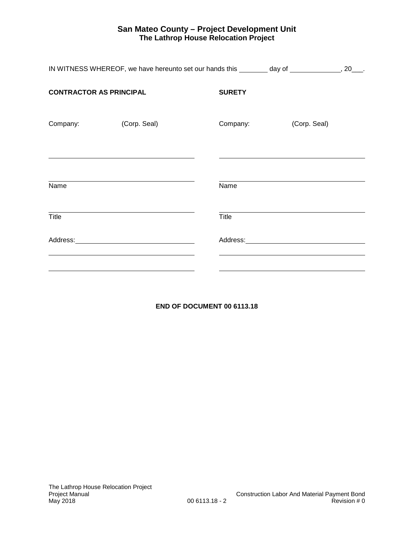# **San Mateo County – Project Development Unit The Lathrop House Relocation Project**

| IN WITNESS WHEREOF, we have hereunto set our hands this ________ day of _____________, 20___. |                                                                                                                                                                                                                                |               |                                                                                                                                                                                                                                |  |
|-----------------------------------------------------------------------------------------------|--------------------------------------------------------------------------------------------------------------------------------------------------------------------------------------------------------------------------------|---------------|--------------------------------------------------------------------------------------------------------------------------------------------------------------------------------------------------------------------------------|--|
| <b>CONTRACTOR AS PRINCIPAL</b>                                                                |                                                                                                                                                                                                                                | <b>SURETY</b> |                                                                                                                                                                                                                                |  |
| Company:                                                                                      | (Corp. Seal)                                                                                                                                                                                                                   | Company:      | (Corp. Seal)                                                                                                                                                                                                                   |  |
| Name                                                                                          |                                                                                                                                                                                                                                | Name          |                                                                                                                                                                                                                                |  |
| Title                                                                                         |                                                                                                                                                                                                                                | Title         |                                                                                                                                                                                                                                |  |
|                                                                                               | Address: Andreas Address: Address: Address: Address: Address: Address: Address: Address: Address: Address: Address: Address: Address: Address: Address: Address: Address: Address: Address: Address: Address: Address: Address |               | Address: Andreas Address: Address: Address: Address: Address: Address: Address: Address: Address: Address: Address: Address: Address: Address: Address: Address: Address: Address: Address: Address: Address: Address: Address |  |
|                                                                                               |                                                                                                                                                                                                                                |               |                                                                                                                                                                                                                                |  |

# **END OF DOCUMENT 00 6113.18**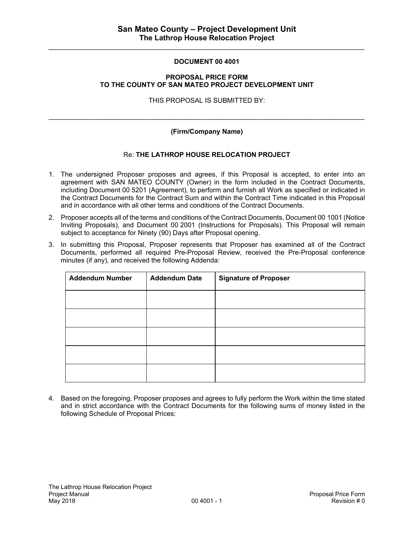## **DOCUMENT 00 4001**

#### **PROPOSAL PRICE FORM TO THE COUNTY OF SAN MATEO PROJECT DEVELOPMENT UNIT**

THIS PROPOSAL IS SUBMITTED BY:

## **(Firm/Company Name)**

 $\mathcal{L}_\text{max}$  , and the contribution of the contribution of the contribution of the contribution of the contribution of the contribution of the contribution of the contribution of the contribution of the contribution of t

## Re: **THE LATHROP HOUSE RELOCATION PROJECT**

- 1. The undersigned Proposer proposes and agrees, if this Proposal is accepted, to enter into an agreement with SAN MATEO COUNTY (Owner) in the form included in the Contract Documents, including Document 00 5201 (Agreement), to perform and furnish all Work as specified or indicated in the Contract Documents for the Contract Sum and within the Contract Time indicated in this Proposal and in accordance with all other terms and conditions of the Contract Documents.
- 2. Proposer accepts all of the terms and conditions of the Contract Documents, Document 00 1001 (Notice Inviting Proposals), and Document 00 2001 (Instructions for Proposals). This Proposal will remain subject to acceptance for Ninety (90) Days after Proposal opening.
- 3. In submitting this Proposal, Proposer represents that Proposer has examined all of the Contract Documents, performed all required Pre-Proposal Review, received the Pre-Proposal conference minutes (if any), and received the following Addenda:

| <b>Addendum Number</b> | <b>Addendum Date</b> | <b>Signature of Proposer</b> |
|------------------------|----------------------|------------------------------|
|                        |                      |                              |
|                        |                      |                              |
|                        |                      |                              |
|                        |                      |                              |
|                        |                      |                              |

4. Based on the foregoing, Proposer proposes and agrees to fully perform the Work within the time stated and in strict accordance with the Contract Documents for the following sums of money listed in the following Schedule of Proposal Prices: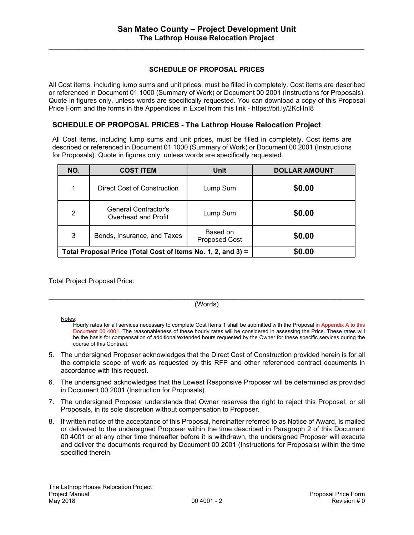$\mathcal{L}_\text{max}$  , and the contribution of the contribution of the contribution of the contribution of the contribution of the contribution of the contribution of the contribution of the contribution of the contribution of t

## **SCHEDULE OF PROPOSAL PRICES**

All Cost items, including lump sums and unit prices, must be filled in completely. Cost items are described or referenced in Document 01 1000 (Summary of Work) or Document 00 2001 (Instructions for Proposals). Quote in figures only, unless words are specifically requested. You can download a copy of this Proposal Price Form and the forms in the Appendices in Excel from this link - https://bit.ly/2KcHnI8

# **SCHEDULE OF PROPOSAL PRICES - The Lathrop House Relocation Project**

All Cost items, including lump sums and unit prices, must be filled in completely. Cost items are described or referenced in Document 01 1000 (Summary of Work) or Document 00 2001 (Instructions for Proposals). Quote in figures only, unless words are specifically requested.

| NO.                                                          | <b>COST ITEM</b>                            | <b>Unit</b>                      | <b>DOLLAR AMOUNT</b> |
|--------------------------------------------------------------|---------------------------------------------|----------------------------------|----------------------|
| 1                                                            | Direct Cost of Construction                 | Lump Sum                         | \$0.00               |
| 2                                                            | General Contractor's<br>Overhead and Profit | Lump Sum                         | \$0.00               |
| 3                                                            | Bonds, Insurance, and Taxes                 | Based on<br><b>Proposed Cost</b> | \$0.00               |
| Total Proposal Price (Total Cost of Items No. 1, 2, and 3) = |                                             |                                  | \$0.00               |

Total Project Proposal Price:

#### $\mathcal{L}_\text{max}$  , and the contribution of the contribution of the contribution of the contribution of the contribution of the contribution of the contribution of the contribution of the contribution of the contribution of t (Words)

#### Notes:

Hourly rates for all services necessary to complete Cost Items 1 shall be submitted with the Proposal in Appendix A to this Document 00 4001. The reasonableness of these hourly rates will be considered in assessing the Price. These rates will be the basis for compensation of additional/extended hours requested by the Owner for these specific services during the course of this Contract.

- 5. The undersigned Proposer acknowledges that the Direct Cost of Construction provided herein is for all the complete scope of work as requested by this RFP and other referenced contract documents in accordance with this request.
- 6. The undersigned acknowledges that the Lowest Responsive Proposer will be determined as provided in Document 00 2001 (Instruction for Proposals).
- 7. The undersigned Proposer understands that Owner reserves the right to reject this Proposal, or all Proposals, in its sole discretion without compensation to Proposer.
- 8. If written notice of the acceptance of this Proposal, hereinafter referred to as Notice of Award, is mailed or delivered to the undersigned Proposer within the time described in Paragraph 2 of this Document 00 4001 or at any other time thereafter before it is withdrawn, the undersigned Proposer will execute and deliver the documents required by Document 00 2001 (Instructions for Proposals) within the time specified therein.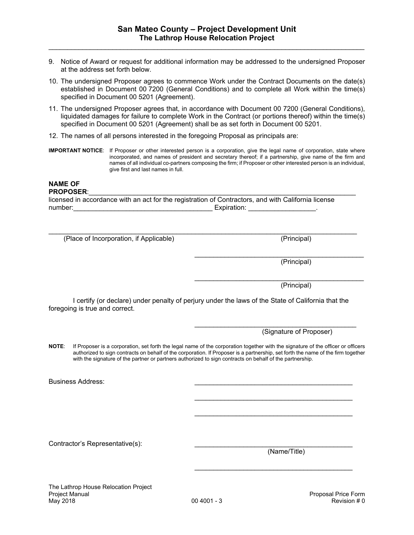- 9. Notice of Award or request for additional information may be addressed to the undersigned Proposer at the address set forth below.
- 10. The undersigned Proposer agrees to commence Work under the Contract Documents on the date(s) established in Document 00 7200 (General Conditions) and to complete all Work within the time(s) specified in Document 00 5201 (Agreement).
- 11. The undersigned Proposer agrees that, in accordance with Document 00 7200 (General Conditions), liquidated damages for failure to complete Work in the Contract (or portions thereof) within the time(s) specified in Document 00 5201 (Agreement) shall be as set forth in Document 00 5201.
- 12. The names of all persons interested in the foregoing Proposal as principals are:
- **IMPORTANT NOTICE**: If Proposer or other interested person is a corporation, give the legal name of corporation, state where incorporated, and names of president and secretary thereof; if a partnership, give name of the firm and names of all individual co-partners composing the firm; if Proposer or other interested person is an individual, give first and last names in full.

# **NAME OF**

#### **PROPOSER:**

licensed in accordance with an act for the registration of Contractors, and with California license number:\_\_\_\_\_\_\_\_\_\_\_\_\_\_\_\_\_\_\_\_\_\_\_\_\_\_\_\_\_\_\_\_\_\_\_\_\_ Expiration: \_\_\_\_\_\_\_\_\_\_\_\_\_\_\_\_\_\_.

(Place of Incorporation, if Applicable) (Principal)

 $\_$  ,  $\_$  ,  $\_$  ,  $\_$  ,  $\_$  ,  $\_$  ,  $\_$  ,  $\_$  ,  $\_$  ,  $\_$  ,  $\_$  ,  $\_$  ,  $\_$  ,  $\_$  ,  $\_$  ,  $\_$  ,  $\_$  ,  $\_$  ,  $\_$  ,  $\_$  ,  $\_$  ,  $\_$  ,  $\_$  ,  $\_$  ,  $\_$  ,  $\_$  ,  $\_$  ,  $\_$  ,  $\_$  ,  $\_$  ,  $\_$  ,  $\_$  ,  $\_$  ,  $\_$  ,  $\_$  ,  $\_$  ,  $\_$  ,

(Principal)

\_\_\_\_\_\_\_\_\_\_\_\_\_\_\_\_\_\_\_\_\_\_\_\_\_\_\_\_\_\_\_\_\_\_\_\_\_\_\_\_\_\_\_\_\_

\_\_\_\_\_\_\_\_\_\_\_\_\_\_\_\_\_\_\_\_\_\_\_\_\_\_\_\_\_\_\_\_\_\_\_\_\_\_\_\_\_\_\_

 $\_$ 

 $\mathcal{L}_\text{max}$  , and the set of the set of the set of the set of the set of the set of the set of the set of the set of the set of the set of the set of the set of the set of the set of the set of the set of the set of the

 $\_$ 

\_\_\_\_\_\_\_\_\_\_\_\_\_\_\_\_\_\_\_\_\_\_\_\_\_\_\_\_\_\_\_\_\_\_\_\_\_\_\_\_\_\_\_\_\_ (Principal)

I certify (or declare) under penalty of perjury under the laws of the State of California that the foregoing is true and correct.

(Signature of Proposer)

**NOTE**: If Proposer is a corporation, set forth the legal name of the corporation together with the signature of the officer or officers authorized to sign contracts on behalf of the corporation. If Proposer is a partnership, set forth the name of the firm together with the signature of the partner or partners authorized to sign contracts on behalf of the partnership.

Business Address:

Contractor's Representative(s):

(Name/Title)

The Lathrop House Relocation Project Project Manual **Proposal Price Form** Proposal Price Form **Proposal Price Form** May 2018 00 4001 - 3 Revision # 0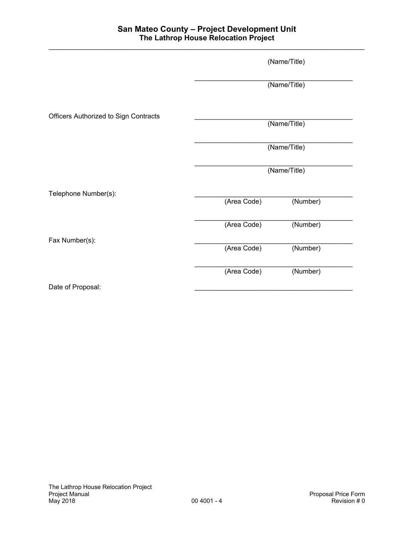|                                       |             | (Name/Title) |  |
|---------------------------------------|-------------|--------------|--|
|                                       |             | (Name/Title) |  |
| Officers Authorized to Sign Contracts |             | (Name/Title) |  |
|                                       |             |              |  |
|                                       |             | (Name/Title) |  |
|                                       |             | (Name/Title) |  |
| Telephone Number(s):                  |             |              |  |
|                                       | (Area Code) | (Number)     |  |
|                                       | (Area Code) | (Number)     |  |
| Fax Number(s):                        |             |              |  |
|                                       | (Area Code) | (Number)     |  |
|                                       | (Area Code) | (Number)     |  |
| Date of Proposal:                     |             |              |  |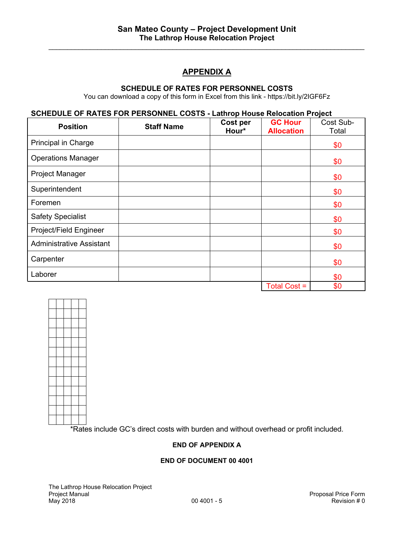$\mathcal{L}_\text{max}$  , and the contribution of the contribution of the contribution of the contribution of the contribution of the contribution of the contribution of the contribution of the contribution of the contribution of t

# **APPENDIX A**

#### **SCHEDULE OF RATES FOR PERSONNEL COSTS**

You can download a copy of this form in Excel from this link - https://bit.ly/2IGF6Fz

## **SCHEDULE OF RATES FOR PERSONNEL COSTS - Lathrop House Relocation Project**

| <b>Position</b>                 | <b>Staff Name</b> | Cost per | <b>GC Hour</b>    | Cost Sub- |
|---------------------------------|-------------------|----------|-------------------|-----------|
|                                 |                   | Hour*    | <b>Allocation</b> | Total     |
| Principal in Charge             |                   |          |                   | \$0       |
| <b>Operations Manager</b>       |                   |          |                   | \$0       |
| <b>Project Manager</b>          |                   |          |                   | \$0       |
| Superintendent                  |                   |          |                   | \$0       |
| Foremen                         |                   |          |                   | \$0       |
| <b>Safety Specialist</b>        |                   |          |                   | \$0       |
| Project/Field Engineer          |                   |          |                   | \$0       |
| <b>Administrative Assistant</b> |                   |          |                   | \$0       |
| Carpenter                       |                   |          |                   | \$0       |
| Laborer                         |                   |          |                   | \$0       |
|                                 |                   |          | Total Cost =      | \$0       |



\*Rates include GC's direct costs with burden and without overhead or profit included.

## **END OF APPENDIX A**

## **END OF DOCUMENT 00 4001**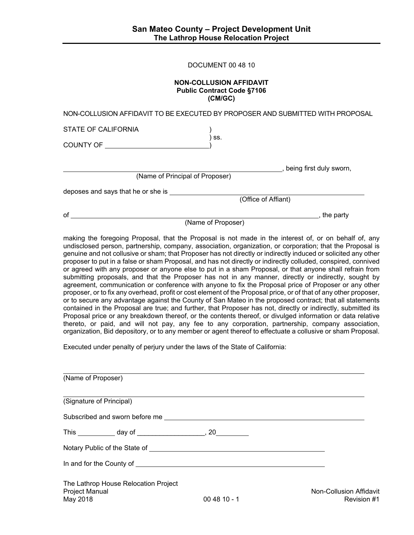| DOCUMENT 00 48 10 |  |  |
|-------------------|--|--|
|-------------------|--|--|

#### **NON-COLLUSION AFFIDAVIT Public Contract Code §7106 (CM/GC)**

| of                                 | the party<br>(Name of Proposer)                                                |
|------------------------------------|--------------------------------------------------------------------------------|
|                                    |                                                                                |
|                                    | (Office of Affiant)                                                            |
| deposes and says that he or she is |                                                                                |
| (Name of Principal of Proposer)    |                                                                                |
|                                    | being first duly sworn,                                                        |
|                                    |                                                                                |
| COUNTY OF <b>Example 2</b>         | SS.                                                                            |
| STATE OF CALIFORNIA                |                                                                                |
|                                    | NON-COLLUSION AFFIDAVIT TO BE EXECUTED BY PROPOSER AND SUBMITTED WITH PROPOSAL |

making the foregoing Proposal, that the Proposal is not made in the interest of, or on behalf of, any undisclosed person, partnership, company, association, organization, or corporation; that the Proposal is genuine and not collusive or sham; that Proposer has not directly or indirectly induced or solicited any other proposer to put in a false or sham Proposal, and has not directly or indirectly colluded, conspired, connived or agreed with any proposer or anyone else to put in a sham Proposal, or that anyone shall refrain from submitting proposals, and that the Proposer has not in any manner, directly or indirectly, sought by agreement, communication or conference with anyone to fix the Proposal price of Proposer or any other proposer, or to fix any overhead, profit or cost element of the Proposal price, or of that of any other proposer, or to secure any advantage against the County of San Mateo in the proposed contract; that all statements contained in the Proposal are true; and further, that Proposer has not, directly or indirectly, submitted its Proposal price or any breakdown thereof, or the contents thereof, or divulged information or data relative thereto, or paid, and will not pay, any fee to any corporation, partnership, company association, organization, Bid depository, or to any member or agent thereof to effectuate a collusive or sham Proposal.

Executed under penalty of perjury under the laws of the State of California:

| (Name of Proposer)                                                        |              |                                        |
|---------------------------------------------------------------------------|--------------|----------------------------------------|
| (Signature of Principal)                                                  |              |                                        |
|                                                                           |              |                                        |
|                                                                           |              |                                        |
|                                                                           |              |                                        |
|                                                                           |              |                                        |
| The Lathrop House Relocation Project<br><b>Project Manual</b><br>May 2018 | $004810 - 1$ | Non-Collusion Affidavit<br>Revision #1 |